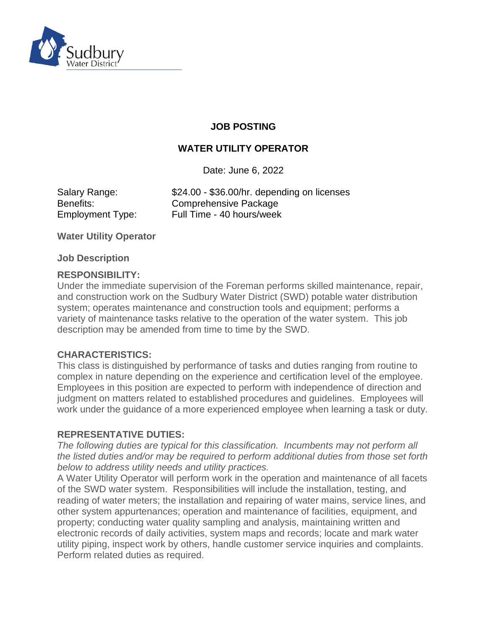

# **JOB POSTING**

# **WATER UTILITY OPERATOR**

Date: June 6, 2022

Salary Range:  $$24.00 - $36.00/hr.$  depending on licenses Benefits: Comprehensive Package Employment Type: Full Time - 40 hours/week

**Water Utility Operator**

**Job Description**

### **RESPONSIBILITY:**

Under the immediate supervision of the Foreman performs skilled maintenance, repair, and construction work on the Sudbury Water District (SWD) potable water distribution system; operates maintenance and construction tools and equipment; performs a variety of maintenance tasks relative to the operation of the water system. This job description may be amended from time to time by the SWD.

### **CHARACTERISTICS:**

This class is distinguished by performance of tasks and duties ranging from routine to complex in nature depending on the experience and certification level of the employee. Employees in this position are expected to perform with independence of direction and judgment on matters related to established procedures and guidelines. Employees will work under the guidance of a more experienced employee when learning a task or duty.

### **REPRESENTATIVE DUTIES:**

*The following duties are typical for this classification. Incumbents may not perform all the listed duties and/or may be required to perform additional duties from those set forth below to address utility needs and utility practices.*

A Water Utility Operator will perform work in the operation and maintenance of all facets of the SWD water system. Responsibilities will include the installation, testing, and reading of water meters; the installation and repairing of water mains, service lines, and other system appurtenances; operation and maintenance of facilities, equipment, and property; conducting water quality sampling and analysis, maintaining written and electronic records of daily activities, system maps and records; locate and mark water utility piping, inspect work by others, handle customer service inquiries and complaints. Perform related duties as required.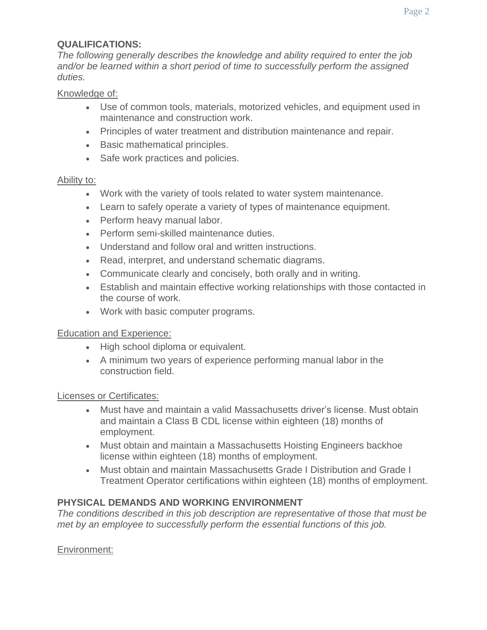#### **QUALIFICATIONS:**

*The following generally describes the knowledge and ability required to enter the job and/or be learned within a short period of time to successfully perform the assigned duties.*

#### Knowledge of:

- Use of common tools, materials, motorized vehicles, and equipment used in maintenance and construction work.
- Principles of water treatment and distribution maintenance and repair.
- Basic mathematical principles.
- Safe work practices and policies.

### Ability to:

- Work with the variety of tools related to water system maintenance.
- Learn to safely operate a variety of types of maintenance equipment.
- Perform heavy manual labor.
- Perform semi-skilled maintenance duties.
- Understand and follow oral and written instructions.
- Read, interpret, and understand schematic diagrams.
- Communicate clearly and concisely, both orally and in writing.
- Establish and maintain effective working relationships with those contacted in the course of work.
- Work with basic computer programs.

### Education and Experience:

- High school diploma or equivalent.
- A minimum two years of experience performing manual labor in the construction field.

### Licenses or Certificates:

- Must have and maintain a valid Massachusetts driver's license. Must obtain and maintain a Class B CDL license within eighteen (18) months of employment.
- Must obtain and maintain a Massachusetts Hoisting Engineers backhoe license within eighteen (18) months of employment.
- Must obtain and maintain Massachusetts Grade I Distribution and Grade I Treatment Operator certifications within eighteen (18) months of employment.

# **PHYSICAL DEMANDS AND WORKING ENVIRONMENT**

*The conditions described in this job description are representative of those that must be met by an employee to successfully perform the essential functions of this job.*

Environment: